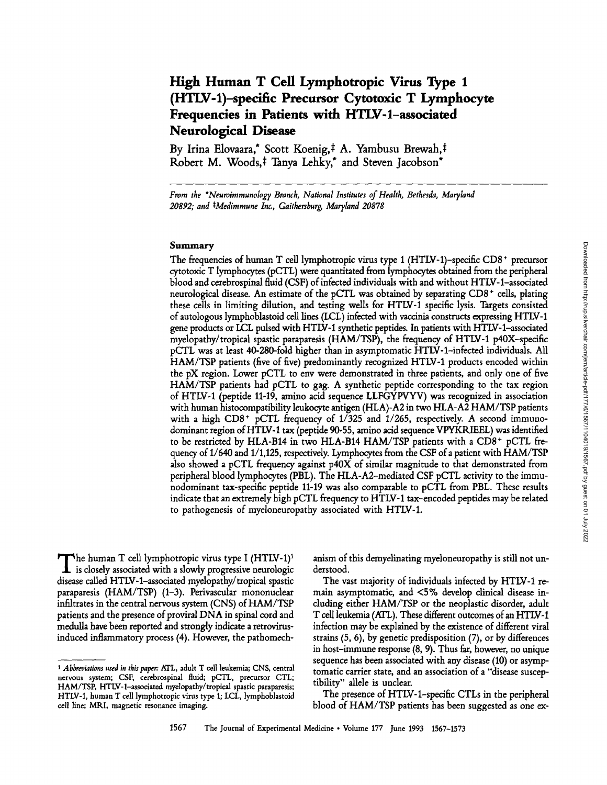# **High Human T Cell Lymphotropic Virus Type 1 (HTLV-1)-specific Precursor Cytotoxic T Lymphocyte Frequencies in Patients with HTLV-l-associated Neurological Disease**

By Irina Elovaara,\* Scott Koenig,<sup>‡</sup> A. Yambusu Brewah,<sup>‡</sup> Robert M. Woods,<sup>‡</sup> Tanya Lehky,\* and Steven Jacobson\*

*From the \*Neuroimmunology Branch, National Institutes of Health, Bethesda, Maryland 20892; and \*Medimmune Ina, Gaithersburg, Maryland 20878* 

### **Summary**

The frequencies of human T cell lymphotropic virus type 1 (HTLV-1)-specific  $CD8<sup>+</sup>$  precursor cytotoxic T lymphocytes (pCTL) were quantitated from lymphocytes obtained from the peripheral blood and cerebrospinal fluid (CSF) of infected individuals with and without HTLV-l-associated neurological disease. An estimate of the pCTL was obtained by separating CD8 + cells, plating these cells in limiting dilution, and testing wells for HTLV-1 specific lysis. Targets consisted of autologous lymphoblastoid cell lines (LCL) infected with vaccinia constructs expressing HTLV-1 gene products or LCL pulsed with HTLV-1 synthetic peptides. In patients with HTLV-l-associated myelopathy/tropical spastic paraparesis (HAM/TSP), the frequency of HTLV-1 p40X-specific pCTL was at least 40-280-fold higher than in asymptomatic HTLV-l-infected individuals. All HAM/TSP patients (five of five) predominantly recognized HTLV-1 products encoded within the pX region. Lower pCTL to env were demonstrated in three patients, and only one of five HAM/TSP patients had pCTL to gag. A synthetic peptide corresponding to the tax region of HTLV-1 (peptide 11-19, amino acid sequence LLFGYPVYV) was recognized in association with human histocompatibility leukocyte antigen (HLA)-A2 in two HLA-A2 HAM/TSP patients with a high CD8<sup>+</sup> pCTL frequency of  $1/325$  and  $1/265$ , respectively. A second immunodominant region of HTLV-1 tax (peptide 90-55, amino acid sequence VPYKRIEEL) was identified to be restricted by HLA-B14 in two HLA-B14 HAM/TSP patients with a CD8<sup>+</sup> pCTL frequency of 1/640 and 1/1,125, respectively. Lymphocytes from the CSF of a patient with HAM/TSP also showed a pCTL frequency against p40X of similar magnitude to that demonstrated from peripheral blood lymphocytes (PBL). The HLA-A2-mediated CSF pCTL activity to the immunodominant tax-specific peptide 11-19 was also comparable to pCTL from PBL. These results indicate that an extremely high pCTL frequency to HTLV-1 tax-encoded peptides may be related to pathogenesis of myeloneuropathy associated with HTLV-1.

Downloaded from http://rup.silverchair.com/jem/article-pdf/177/6/1567/1104019/1567.pdf by guest on 01 July 2022 Downloaded from http://rup.silverchair.com/jem/article-pdf/177/6/1567/1104019/1567.pdf by guest on 01 July 2022

The human T cell lymphotropic virus type I (HTLV-1)<sup>1</sup> is closely associated with a slowly progressive neurologic disease called HTLV-l-associated mydopathy/tropical spastic paraparesis (HAM/TSP) (1-3). Perivascular mononuclear infiltrates in the central nervous system (CNS) of HAM/TSP patients and the presence of proviral DNA in spinal cord and medulla have been reported and strongly indicate a retrovirusinduced inflammatory process (4). However, the pathomech-

anism of this demyelinating myeloneuropathy is still not understood.

The vast majority of individuals infected by HTLV-1 remain asymptomatic, and <5% develop clinical disease including either HAM/TSP or the neoplastic disorder, adult T cell leukemia (ATL). These different outcomes of an HTLV-1 infection may be explained by the existence of different viral strains (5, 6), by genetic predisposition (7), or by differences in host-immune response (8, 9). Thus far, however, no unique sequence has been associated with any disease (10) or asymptomatic carrier state, and an association of a "disease susceptibility" allele is unclear.

The presence of HTLV-l-specific CTLs in the peripheral blood of HAM/TSP patients has been suggested as one ex-

*<sup>1</sup> Abbreviations used in thispager:* ATL, adult T cell leukemia; CNS, central nervous system; CSF, cerebrospinal fluid; *pCTL,* precursor CTL; HAM/TSP, HTLV-l-associated myelopathy/tropical spastic paraparesis; HTLV-1, human T cell lymphotropic virus type 1; LCL, lymphoblastoid cell line; MRI, magnetic resonance imaging.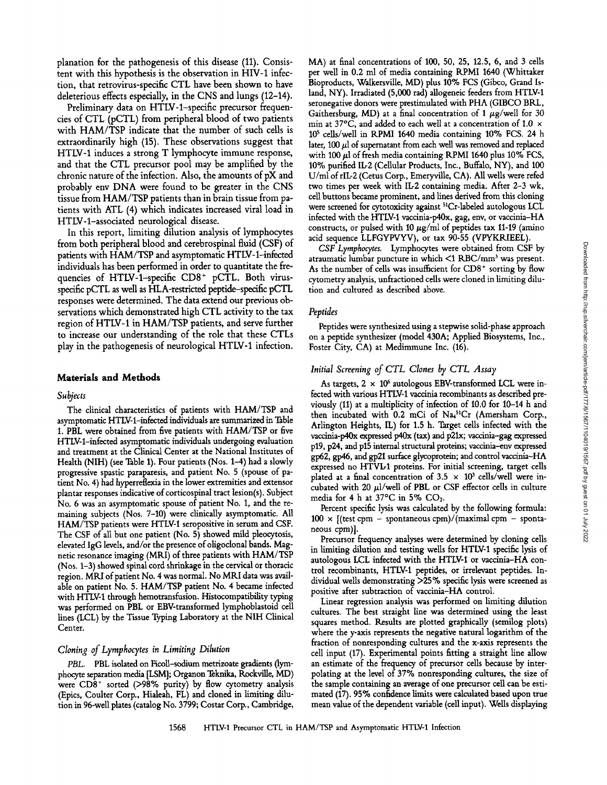planation for the pathogenesis of this disease (11). Consistent with this hypothesis is the observation in HIV-1 infection, that retrovirus-specific CTL have been shown to have deleterious effects especially, in the CNS and lungs (12-14).

Preliminary data on HTLV-l-specific precursor frequencies of CTL (pCTL) from peripheral blood of two patients with HAM/TSP indicate that the number of such cells is extraordinarily high (15). These observations suggest that HTLV-1 induces a strong T lymphocyte immune response, and that the CTL precursor pool may be amplified by the chronic nature of the infection. Also, the amounts of pX and probably env DNA were found to be greater in the CNS tissue from HAM/TSP patients than in brain tissue from patients with ATL (4) which indicates increased viral load in HTLV-l-associated neurological disease.

In this report, limiting dilution analysis of lymphocytes from both peripheral blood and cerebrospinal fluid (CSF) of patients with HAM/TSP and asymptomatic HTLV-l-infected individuals has been performed in order to quantitate the frequencies of HTLV-1-specific CD8<sup>+</sup> pCTL. Both virusspecific pCTL as well as HLA-restricted peptide-specific pCTL responses were determined. The data extend our previous observations which demonstrated high CTL activity to the tax region of HTLV-1 in HAM/TSP patients, and serve further to increase our understanding of the role that these CTLs play in the pathogenesis of neurological HTLV-1 infection.

#### **Materials and Methods**

#### *Subjects*

The clinical characteristics of patients with HAM/TSP and asymptomatic HTLV-l-infected individuals are summarized in Table 1. PBL were obtained from five patients with HAM/TSP or five HTLV-l-infected asymptomatic individuals undergoing evaluation and treatment at the Clinical Center at the National Institutes of Health (NIH) (see Table 1). Four patients (Nos. 1-4) had a slowly progressive spastic paraparesis, and patient No. 5 (spouse of patient No. 4) had hyperreflexia in the lower extremities and extensor plantar responses indicative of corticospinal tract lesion(s). Subject No. 6 was an asymptomatic spouse of patient No. 1, and the remaining subjects (Nos. 7-10) were clinically asymptomatic. All HAM/TSP patients were HTLV-1 seropositive in serum and CSF. The CSF of all but one patient (No. 5) showed mild pleocytosis, elevated IgG levels, and/or the presence of oligoclonal bands. Magnetic resonance imaging (MRI) of three patients with HAM/TSP (Nos. 1-3) showed spinal cord shrinkage in the cervical or thoracic region. MRI of patient No. 4 was normal. No MRI data was available on patient No. 5. HAM/TSP patient No. 4 became infected with HTLV-1 through hemotransfusion. Histocompatibility typing was performed on PBL or EBV-transformed lymphoblastoid cell lines (LCL) by the Tissue Typing Laboratory at the NIH Clinical Center.

## *Cloning of Lymphocytes in Limiting Dilution*

*PBL.* PBL isolated on Hcoll-sodium metrizoate gradients (lymphocyte separation media [LSM]; Organon Teknika, Rockville, MD) were  $CD8<sup>+</sup>$  sorted ( $>98\%$  purity) by flow cytometry analysis (Epics, Coulter Corp., Hialeah, FL) and cloned in limiting dilution in 96-well plates (catalog No. 3799; Costar Corp., Cambridge,

MA) at final concentrations of 100, 50, 25, 12.5, 6, and 3 cells per well in 0.2 ml of media containing KPMI 1640 (Whittaker Bioproducts, Walkersville, MD) plus 10% FCS (Gibco, Grand Island, NY). Irradiated (5,000 rad) allogeneic feeders from HTLV-1 seronegative donors were prestimulated with PHA (GIBCO BRL, Gaithersburg, MD) at a final concentration of 1  $\mu$ g/well for 30 min at 37°C, and added to each well at a concentration of 1.0  $\times$  $10<sup>5</sup>$  cells/well in RPMI 1640 media containing 10% FCS. 24 h later, 100  $\mu$ l of supernatant from each well was removed and replaced with 100  $\mu$ l of fresh media containing RPMI 1640 plus 10% FCS, 10% purified IL-2 (Cellular Products, Inc., Buffalo, NY), and 100 U/ml of rlL-2 (Cetus Corp., Emeryville, CA). All wells were refed two times per week with IL-2 containing media. After 2-3 wk, cell buttons became prominent, and lines derived from this cloning were screened for cytotoxicity against <sup>51</sup>Cr-labeled autologous LCL infected with the HTLV-1 vaccinia-p40x, gag, env, or vaccinia-HA constructs, or pulsed with 10  $\mu$ g/ml of peptides tax 11-19 (amino acid sequence LLFGYPVYV), or tax 90-55 (VPYKR/EEL).

*CSF Lymphocytes.* Lymphocytes were obtained from CSF by atraumatic lumbar puncture in which  $\leq 1$  RBC/mm<sup>3</sup> was present. As the number of cells was insufficient for CD8<sup>+</sup> sorting by flow cytometry analysis, unfractioned cells were cloned in limiting dilution and cultured as described above.

#### *Peptides*

Peptides were synthesized using a stepwise solid-phase approach on a peptide synthesizer (model 430A; Applied Biosystems, Inc., Foster City, CA) at Medimmune Inc. (16).

## *Initial Screening of CTL Clones by CTL Assay*

As targets,  $2 \times 10^6$  autologous EBV-transformed LCL were infected with various HTLV-1 vaccinia recombinants as described previously (11) at a multiplicity of infection of 10.0 for 10-14 h and then incubated with 0.2 mCi of Na,<sup>51</sup>Cr (Amersham Corp., Arlington Heights, IL) for 1.5 h. Target cells infected with the vaccinia-p40x expressed p40x (tax) and p21x; vaccinia-gag expressed p19, p24, and p15 internal structural proteins; vaccinia-env expressed gp62, gp46, and gp21 surface glycoprotein; and control vaccinia-HA expressed no HTVD1 proteins. For initial screening, target cells plated at a final concentration of  $3.5 \times 10^3$  cells/well were incubated with 20  $\mu$ l/well of PBL or CSF effector cells in culture media for 4 h at  $37^{\circ}$ C in 5% CO<sub>2</sub>.

Percent specific lysis was calculated by the following formula:  $100 \times$  [(test cpm - spontaneous cpm)/(maximal cpm - spontaneous cpm)].

Precursor frequency analyses were determined by cloning cells in limiting dilution and testing wells for HTLV-1 specific lysis of autologous LCL infected with the HTLV-1 or vaccinia-HA control recombinants, HTLV-1 peptides, or irrelevant peptides. Individual wells demonstrating >25% specific lysis were screened as positive after subtraction of vaccinia-HA control.

Linear regression analysis was performed on limiting dilution cultures. The best straight line was determined using the least squares method. Results are plotted graphically (semilog plots) where the y-axis represents the negative natural logarithm of the fraction of nonresponding cultures and the x-axis represents the cell input (17). Experimental points fitting a straight line allow an estimate of the frequency of precursor cells because by interpolating at the level of 37% nonresponding cultures, the size of the sample containing an average of one precursor cell can be estimated (17). 95% confidence limits were calculated based upon true mean value of the dependent variable (cell input). Wells displaying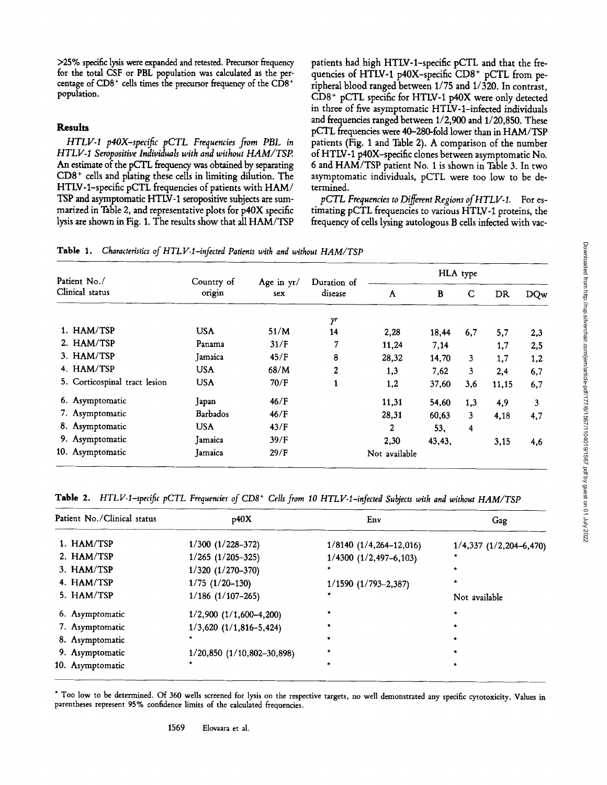>25% specific lysis were expanded and retested. Precursor frequency for the total CSF or PBL population was calculated as the percentage of  $CD8<sup>+</sup>$  cells times the precursor frequency of the  $CD8<sup>+</sup>$ population.

## **Results**

*HTLV-I p4OX-specific pCTL Frequencies from PBL in HTLV-I Seropositive Individuals with and without HAM/TSP.*  An estimate of the pCTL frequency was obtained by separating CD8 + cells and plating these cells in limiting dilution. The HTLV-l-specific pCTL frequencies of patients with HAM/ TSP and asymptomatic HTLV-1 seropositive subjects are summarized in Table 2, and representative plots for p40X specific lysis are shown in Fig. 1. The results show that all HAM/TSP patients had high HTLV-l-specific pCTL and that the frequencies of HTLV-1 p40X-specific  $CD8<sup>+</sup> pCTL$  from peripheral blood ranged between 1/75 and 1/320. In contrast, CD8 + pCTL specific for HTLV-1 p40X were only detected in three of five asymptomatic HTLV-l-infected individuals and frequencies ranged between 1/2,900 and 1/20,850. These pCTL frequencies were 40-280-fold lower than in HAM/TSP patients (Fig. 1 and Table 2). A comparison of the number of HTLV-1 p40X-spedfic clones between asymptomatic No. 6 and HAM/TSP patient No. 1 is shown in Table 3. In two asymptomatic individuals, pCTL were too low to be determined.

*pCTL Frequencies to Different Regions of HTLV-1.* For estimating pCTL frequencies to various HTLV-1 proteins, the frequency of cells lysing autologous B cells infected with vac-

**Table** 1. *Characteristics of HTLV-l-infected Patients with and without HAM/TSP* 

| Patient No./<br>Clinical status | Country of<br>origin | Age in $yr/$<br>sex | Duration of<br>disease | HLA type      |        |              |           |            |
|---------------------------------|----------------------|---------------------|------------------------|---------------|--------|--------------|-----------|------------|
|                                 |                      |                     |                        | $\Lambda$     | B      | C            | <b>DR</b> | <b>DQw</b> |
|                                 |                      |                     | $\gamma$ r             |               |        |              |           |            |
| 1. HAM/TSP                      | <b>USA</b>           | 51/M                | 14                     | 2,28          | 18,44  | 6,7          | 5,7       | 2,3        |
| 2. HAM/TSP                      | Panama               | 31/F                | 7                      | 11,24         | 7,14   |              | 1,7       | 2,5        |
| 3. HAM/TSP                      | Jamaica              | 45/F                | 8                      | 28,32         | 14,70  | $\mathbf{3}$ | 1,7       | 1,2        |
| 4. HAM/TSP                      | <b>USA</b>           | 68/M                | 2                      | 1,3           | 7.62   | 3            | 2,4       | 6,7        |
| 5. Corticospinal tract lesion   | <b>USA</b>           | 70/F                | 1                      | 1,2           | 37,60  | 3,6          | 11,15     | 6,7        |
| 6. Asymptomatic                 | Japan                | 46/F                |                        | 11.31         | 54,60  | 1,3          | 4,9       | 3          |
| 7. Asymptomatic                 | Barbados             | 46/F                |                        | 28,31         | 60,63  | 3            | 4,18      | 4,7        |
| 8. Asymptomatic                 | <b>USA</b>           | 43/F                |                        | $\mathbf{2}$  | 53.    | 4            |           |            |
| 9. Asymptomatic                 | Jamaica              | 39/F                |                        | 2,30          | 43,43, |              | 3,15      | 4,6        |
| 10. Asymptomatic                | <b>Jamaica</b>       | 29/F                |                        | Not available |        |              |           |            |

**Table** 2. *HTLV-1-specific pCTL Frequencies of CD8 + Cells from 10 HTLV-1-infected Subjects with and without HAM/TSP* 

| Patient No./Clinical status | p40X                           | Env                        | Gag                         |  |
|-----------------------------|--------------------------------|----------------------------|-----------------------------|--|
| 1. HAM/TSP                  | $1/300$ $(1/228-372)$          | $1/8140 (1/4,264-12,016)$  | $1/4,337$ $(1/2,204-6,470)$ |  |
| 2. HAM/TSP                  | $1/265$ $(1/205-325)$          | $1/4300$ $(1/2,497-6,103)$ |                             |  |
| 3. HAM/TSP                  | $1/320$ $(1/270-370)$          |                            |                             |  |
| 4. HAM/TSP                  | $1/75$ $(1/20-130)$            | $1/1590$ $(1/793-2,387)$   |                             |  |
| 5. HAM/TSP                  | $1/186$ (1/107-265)            |                            | Not available               |  |
| 6. Asymptomatic             | $1/2,900$ $(1/1,600-4,200)$    |                            |                             |  |
| 7. Asymptomatic             | $1/3,620$ $(1/1,816-5,424)$    |                            |                             |  |
| 8. Asymptomatic             | ٠                              |                            |                             |  |
| 9. Asymptomatic             | $1/20,850$ $(1/10,802-30,898)$ |                            |                             |  |
| 10. Asymptomatic            |                                |                            | *                           |  |

\* Too low to be determined. Of 360 wells screened for lysis on the respective targets, no well demonstrated any specific cytotoxicity. Values in parentheses represent 95% confidence limits of the calculated frequencies.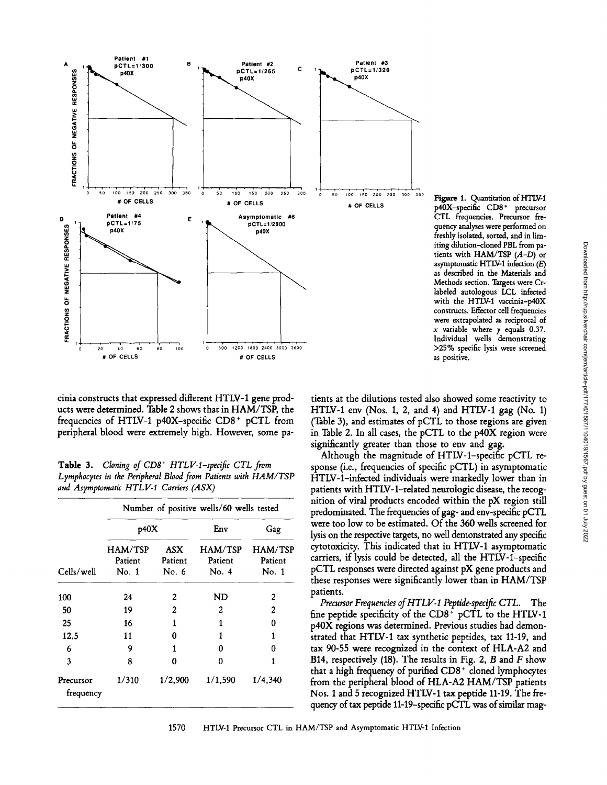

Figure 1. Quantitation of HTLV-1 p40X-specific CD8+ precursor CTL frequencies. Precursor frequency analyses were performed on freshly isolated, sorted, and in limiting dilution-cloned PBL from patients with HAM/TSP  $(A-D)$  or asymptomatic HTLV-1 infection (E) as described in the Materials and Methods section. Targets were Crlabeled autologous LCL infected with the HTLV-1 vaccinia-p40X constructs. Effector cell frequencies were extrapolated as reciprocal of x variable where  $y$  equals 0.37. Individual wells demonstrating >25% specific lysis were screened as positive.

cinia constructs that expressed different HTLV-1 gene products were determined. Table 2 shows that in HAM/TSP, the frequencies of HTLV-1 p40X-specific  $CD8<sup>+</sup>$  pCTL from peripheral blood were extremely high. However, some pa-

Table 3. *Cloning of CD8<sup>+</sup> HTLV-1-specific CTL from Lymphocytes in the Peripheral Blood from Patients with HAM/TSP and Asymptomatic HTLV-I Carriers (ASX)* 

| Cells/well             | Number of positive wells/60 wells tested |                                |                             |                                    |  |  |  |
|------------------------|------------------------------------------|--------------------------------|-----------------------------|------------------------------------|--|--|--|
|                        | p40X                                     |                                | Env                         | Gag                                |  |  |  |
|                        | <b>HAM/TSP</b><br>Patient<br>No. 1       | <b>ASX</b><br>Patient<br>No. 6 | HAM/TSP<br>Patient<br>No. 4 | <b>HAM/TSP</b><br>Patient<br>No. 1 |  |  |  |
| 100                    | 24                                       | 2                              | ND                          | 2                                  |  |  |  |
| 50                     | 19                                       | 2                              | 2                           | 2                                  |  |  |  |
| 25                     | 16                                       | 1                              | 1                           | 0                                  |  |  |  |
| 12.5                   | 11                                       | Ω                              | 1                           | 1                                  |  |  |  |
| 6                      | 9                                        | 1                              | o                           | Ω                                  |  |  |  |
| 3                      | 8                                        | Ω                              | 0                           | 1                                  |  |  |  |
| Precursor<br>frequency | 1/310                                    | 1/2,900                        | 1/1,590                     | 1/4,340                            |  |  |  |

tients at the dilutions tested also showed some reactivity to HTLV-1 env (Nos. 1, 2, and 4) and HTLV-1 gag (No. 1) (Table 3), and estimates of pCTL to those regions are given in Table 2. In all cases, the pCTL to the p40X region were significantly greater than those to env and gag.

Although the magnitude of HTLV-l-specific pCTL response (i.e., frequencies of specific pCTL) in asymptomatic HTLV-l-infected individuals were markedly lower than in patients with HTLV-l-related neurologic disease, the recognition of viral products encoded within the pX region still predominated. The frequencies of gag- and env-specific pCTL were too low to be estimated. Of the 360 wells screened for lysis on the respective targets, no well demonstrated any specific cytotoxicity. This indicated that in HTLV-1 asymptomatic carriers, if lysis could be detected, all the HTLV-l-specific pCTL responses were directed against pX gene products and these responses were significantly lower than in HAM/TSP patients.

*Precursor Frequencies of HTLV-I Peptide-specific CTL.* The fine peptide specificity of the  $CD8<sup>+</sup> pCTL$  to the HTLV-1 p40X regions was determined. Previous studies had demonstrated that HTLV-1 tax synthetic peptides, tax 11-19, and tax 90-55 were recognized in the context of HLA-A2 and B14, respectively (18). The results in Fig. 2,  $B$  and  $F$  show that a high frequency of purified CD8 + cloned lymphocytes from the peripheral blood of HLA-A2 HAM/TSP patients Nos. 1 and 5 recognized HTLV-1 tax peptide 11-19. The frequency of tax peptide 11-19-specific pCTL was of similar mag-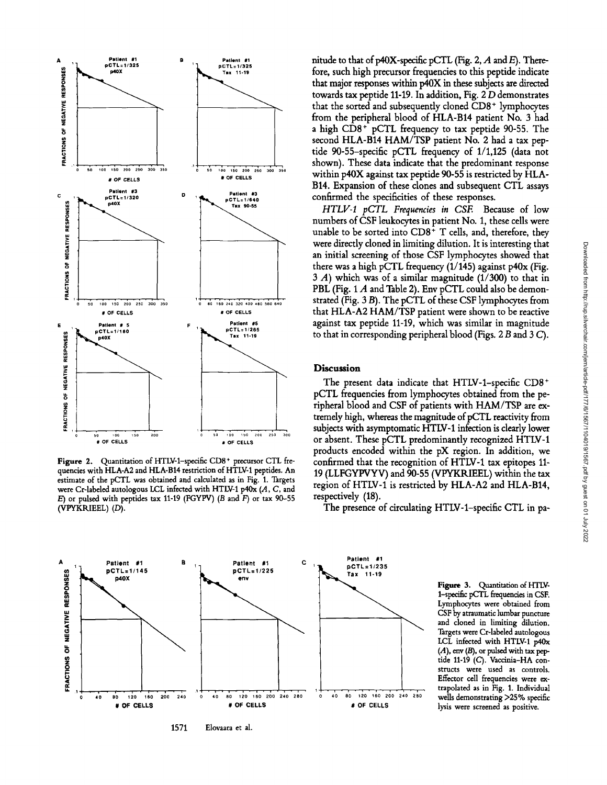

Figure 2. Quantitation of HTLV-1-specific CD8<sup>+</sup> precursor CTL fre**quencies with HLA-A2 and HLA-B14 restriction of HTLV-1 peptides. An estimate of the pCTL was obtained and calculated as in** Fig. 1. **Targets**  were Cr-labeled autologous LCL infected with HTLV-1 p40x (A, C, and E) **or pulsed with peptides tax** 11-19 (FGYPV) (B and F) **or tax** 90-55  $(VPYKRIEEL) (D)$ .

nitude to that of p40X-specific pCTL (Fig. 2, A and E). There**fore, such high precursor frequencies to this peptide indicate**  that major responses within  $p40X$  in these subjects are directed **towards tax peptide 11-19. In addition, Fig. 2 D demonstrates that the sorted and subsequently cloned CD8 + lymphocytes from the peripheral blood of HLA-B14 patient No. 3 had a high CD8 + pCTL frequency to tax peptide 90-55. The second HLA-B14 HAM/TSP patient No. 2 had a tax peptide 90-55-specific pCTL frequency of 1/1,125 (data not shown). These data indicate that the predominant response within p40X against tax peptide 90-55 is restricted by HLA-B14. Expansion of these clones and subsequent CTL assays confirmed the specificities of these responses.** 

*HTLV-I pCTL Frequencies in CSE* **Because of low numbers of CSF leukocytes in patient No. 1, these cells were unable to be sorted into CD8 + T cells, and, therefore, they were directly cloned in limiting dilution. It is interesting that an initial screening of those CSF lymphocytes showed that there was a high pCTL frequency (1/145) against p40x (Fig. 3 A) which was of a similar magnitude (1/300) to that in PBL (Fig. 1 A and Table 2). Env pCTL could also be demonstrated (Fig. 3 B). The pCTL of these CSF lymphocytes from that HLA-A2 HAM/TSP patient were shown to be reactive against tax peptide 11-19, which was similar in magnitude to that in corresponding peripheral blood (Figs. 2 B and 3 C).** 

## **Discussion**

**The present data indicate that HTLV-l-specific CD8 + pCTL frequencies from lymphocytes obtained from the peripheral blood and CSF of patients with HAM/TSP are extremely high, whereas the magnitude of pCTL reactivity from subjects with asymptomatic HTLV-1 infection is clearly lower or absent. These pCTL predominantly recognized HTLV-1 products encoded within the pX region. In addition, we confirmed that the recognition of HTLV-1 tax epitopes 11- 19 (LLFGYPVYV) and 90-55 (VPYKRIEEL) within the tax region of HTLV-1 is restricted by HLA-A2 and HLA-B14, respectively (18).** 

**The presence of circulating HTLV-l-specific CTL in pa-**



**Figure 3. Quantitation of** HTLV-1-specific pCTL frequencies in CSF. **Lymphocytes were obtained from**  CSF by **atraumatic lumbar puncture and cloned in limiting dilution. Targets were Cr-labeled autologous**  LCL **infected with** HTLV-1 p40x  $(A)$ , env  $(B)$ , or pulsed with tax pep**tide** 11-19 (C). **Vaccinia-HA constructs were used as controls. Effector cell frequencies were extrapolated as in** Fig. 1. **Individual wells demonstrating** >25 % specific **lysis were screened as positive.**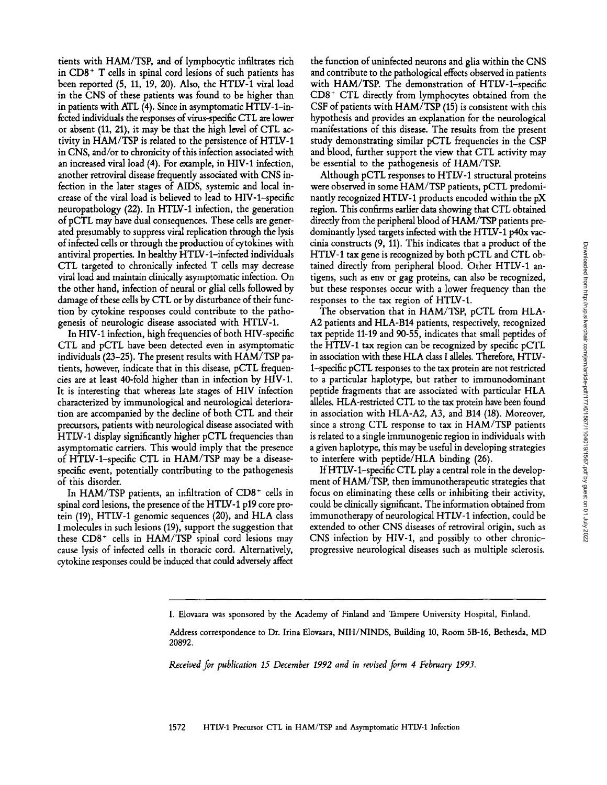tients with HAM/TSP, and of lymphocytic infiltrates rich in  $CD8<sup>+</sup>$  T cells in spinal cord lesions of such patients has been reported (5, 11, 19, 20). Also, the HTLV-1 viral load in the CNS of these patients was found to be higher than in patients with ATL (4). Since in asymptomatic HTLV-I-infected individuals the responses of virus-specific CTL are lower or absent (11, 21), it may be that the high level of CTL activity in HAM/TSP is related to the persistence of HTLV-1 in CNS, and/or to chronicity of this infection associated with an increased viral load (4). For example, in HIV-1 infection, another retroviral disease frequently associated with CNS infection in the later stages of AIDS, systemic and local increase of the viral load is believed to lead to HIV-l-specific neuropathology (22). In HTLV-1 infection, the generation of pCTL may have dual consequences. These cells are generated presumably to suppress viral replication through the lysis of infected cells or through the production of cytokines with antiviral properties. In healthy HTLV-l-infected individuals CTL targeted to chronically infected T cells may decrease viral load and maintain clinically asymptomatic infection. On the other hand, infection of neural or glial cells followed by damage of these cells by CTL or by disturbance of their function by cytokine responses could contribute to the pathogenesis of neurologic disease associated with HTLV-1.

In HIV-1 infection, high frequencies of both HIV-specific CTL and pCTL have been detected even in asymptomatic individuals (23-25). The present results with HAM/TSP patients, however, indicate that in this disease, pCTL frequencies are at least 40-fold higher than in infection by HIV-1. It is interesting that whereas late stages of HIV infection characterized by immunological and neurological deterioration are accompanied by the decline of both CTL and their precursors, patients with neurological disease associated with HTLV-1 display significantly higher pCTL frequencies than asymptomatic carriers. This would imply that the presence of HTLV-l-specific CTL in HAM/TSP may be a diseasespecific event, potentially contributing to the pathogenesis of this disorder.

In HAM/TSP patients, an infiltration of  $CD8<sup>+</sup>$  cells in spinal cord lesions, the presence of the HTLV-1 p19 core protein (19), HTLV-1 genomic sequences (20), and HLA class I molecules in such lesions (19), support the suggestion that these  $CD8<sup>+</sup>$  cells in HAM/TSP spinal cord lesions may cause lysis of infected cells in thoracic cord. Alternatively, cytokine responses could be induced that could adversely affect

the function of uninfected neurons and glia within the CNS and contribute to the pathological effects observed in patients with HAM/TSP. The demonstration of HTLV-l-specific  $CD8<sup>+</sup>$  CTL directly from lymphocytes obtained from the CSF of patients with HAM/TSP (15) is consistent with this hypothesis and provides an explanation for the neurological manifestations of this disease. The results from the present study demonstrating similar pCTL frequencies in the CSF and blood, further support the view that CTL activity may be essential to the pathogenesis of HAM/TSP.

Although pCTL responses to HTLV-1 structural proteins were observed in some HAM/TSP patients, pCTL predominantly recognized HTLV-1 products encoded within the pX region. This confirms earlier data showing that CTL obtained directly from the peripheral blood of HAM/TSP patients predominantly lysed targets infected with the HTLV-1 p40x vaccinia constructs (9, 11). This indicates that a product of the HTLV-1 tax gene is recognized by both pCTL and CTL obtained directly from peripheral blood. Other HTLV-1 antigens, such as env or gag proteins, can also be recognized, but these responses occur with a lower frequency than the responses to the tax region of HTLV-1.

The observation that in HAM/TSP, pCTL from HLA-A2 patients and HLA-B14 patients, respectively, recognized tax peptide 11-19 and 90-55, indicates that small peptides of the HTLV-1 tax region can be recognized by specific pCTL in association with these HLA class I alleles. Therefore, HTLV-1-specific pCTL responses to the tax protein are not restricted to a particular haplotype, but rather to immunodominant peptide fragments that are associated with particular HLA alleles. HLA-restricted CTL to the tax protein have been found in association with HLA-A2, A3, and B14 (18). Moreover, since a strong CTL response to tax in HAM/TSP patients is related to a single immunogenic region in individuals with a given haplotype, this may be useful in developing strategies to interfere with peptide/HLA binding (26).

If HTLV-1-specific CTL play a central role in the development of HAM/TSP, then immunotherapeutic strategies that focus on eliminating these cells or inhibiting their activity, could be clinically significant. The information obtained from immunotherapy of neurological HTLV-1 infection, could be extended to other CNS diseases of retroviral origin, such as CNS infection by HIV-1, and possibly to other chronicprogressive neurological diseases such as multiple sclerosis.

I. Elovaara was sponsored by the Academy of Finland and Tampere University Hospital, Finland.

Address correspondence to Dr. Irina Elovaara, NIH/NINDS, Building 10, Room 5B-16, Bethesda, MD 20892.

*Received for publication 15 December 1992 and in revised form 4 February 1993.*